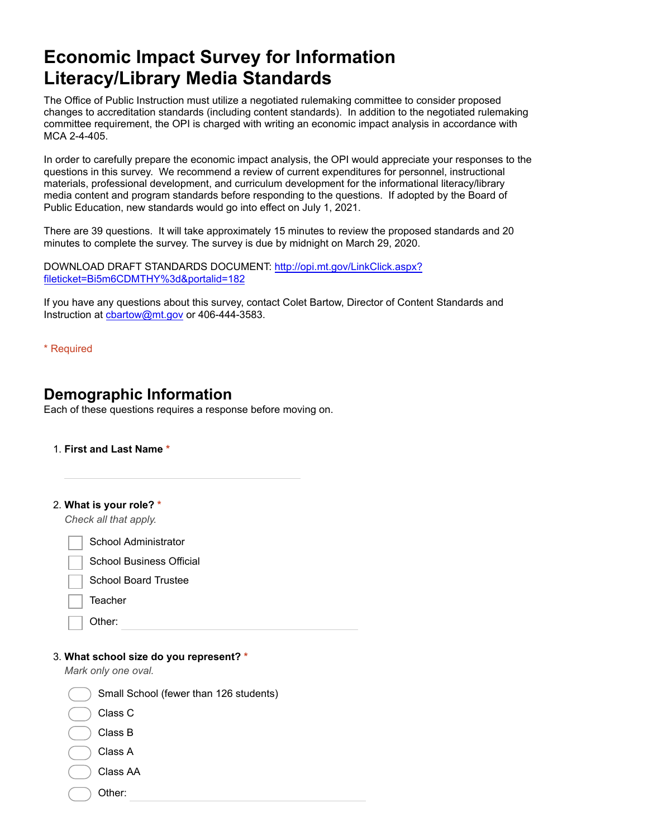# **Economic Impact Survey for Information Literacy/Library Media Standards**

The Office of Public Instruction must utilize a negotiated rulemaking committee to consider proposed changes to accreditation standards (including content standards). In addition to the negotiated rulemaking committee requirement, the OPI is charged with writing an economic impact analysis in accordance with MCA 2-4-405.

In order to carefully prepare the economic impact analysis, the OPI would appreciate your responses to the questions in this survey. We recommend a review of current expenditures for personnel, instructional materials, professional development, and curriculum development for the informational literacy/library media content and program standards before responding to the questions. If adopted by the Board of Public Education, new standards would go into effect on July 1, 2021.

There are 39 questions. It will take approximately 15 minutes to review the proposed standards and 20 minutes to complete the survey. The survey is due by midnight on March 29, 2020.

[DOWNLOAD DRAFT STANDARDS DOCUMENT: http://opi.mt.gov/LinkClick.aspx?](https://www.google.com/url?q=http://opi.mt.gov/LinkClick.aspx?fileticket%3DBi5m6CDMTHY%253d%26portalid%3D182&sa=D&ust=1582930626157000&usg=AFQjCNFPURxTJpBGvOM3B0jty4iXAnD8rg) fileticket=Bi5m6CDMTHY%3d&portalid=182

If you have any questions about this survey, contact Colet Bartow, Director of Content Standards and Instruction at [cbartow@mt.gov](mailto:cbartow@mt.gov) or 406-444-3583.

\* Required

# **Demographic Information**

Each of these questions requires a response before moving on.

#### 1. **First and Last Name \***

|  | 2. What is your role? * |  |  |  |  |
|--|-------------------------|--|--|--|--|
|--|-------------------------|--|--|--|--|

*Check all that apply.*

School Administrator

School Business Official

School Board Trustee

**Teacher** 

Other:

#### 3. **What school size do you represent? \***

*Mark only one oval.*

 Small School (fewer than 126 students) Class C

- Class B
- Class A

Class AA

Other: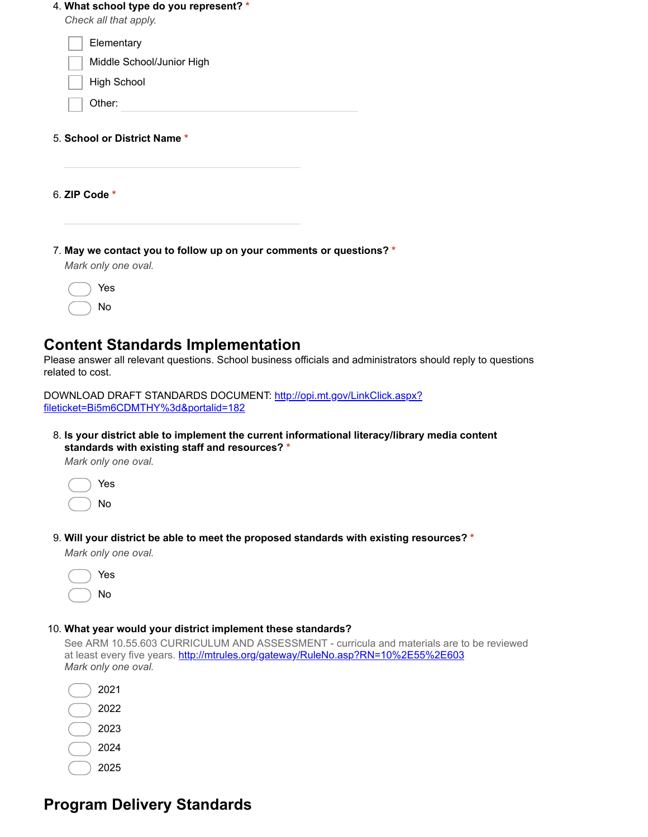| 4. What school type do you represent? *<br>Check all that apply. |  |
|------------------------------------------------------------------|--|
| Elementary                                                       |  |
| Middle School/Junior High                                        |  |
| <b>High School</b>                                               |  |
| Other:                                                           |  |
|                                                                  |  |
| 5. School or District Name *                                     |  |
| 6. ZIP Code *                                                    |  |

Yes No

### **Content Standards Implementation**

Please answer all relevant questions. School business officials and administrators should reply to questions related to cost.

[DOWNLOAD DRAFT STANDARDS DOCUMENT: http://opi.mt.gov/LinkClick.aspx?](https://www.google.com/url?q=http://opi.mt.gov/LinkClick.aspx?fileticket%3DBi5m6CDMTHY%253d%26portalid%3D182&sa=D&ust=1582930626160000&usg=AFQjCNHshQLbOOVfzqRHGqDuJ5aroQl1zA) fileticket=Bi5m6CDMTHY%3d&portalid=182

8. **Is your district able to implement the current informational literacy/library media content standards with existing staff and resources? \***

*Mark only one oval.*



9. **Will your district be able to meet the proposed standards with existing resources? \***

*Mark only one oval.*

| Yes |
|-----|
| No  |

#### 10. **What year would your district implement these standards?**

See ARM 10.55.603 CURRICULUM AND ASSESSMENT - curricula and materials are to be reviewed at least every five years. [http://mtrules.org/gateway/RuleNo.asp?RN=10%2E55%2E603](https://www.google.com/url?q=http://mtrules.org/gateway/RuleNo.asp?RN%3D10%252E55%252E603&sa=D&ust=1582930626161000&usg=AFQjCNFBOSyL9Q_yfy2Ql7w4HhrWpS8gbw) *Mark only one oval.*

| 2021 |
|------|
| 2022 |
| 2023 |
| 2024 |
| 2025 |

# **Program Delivery Standards**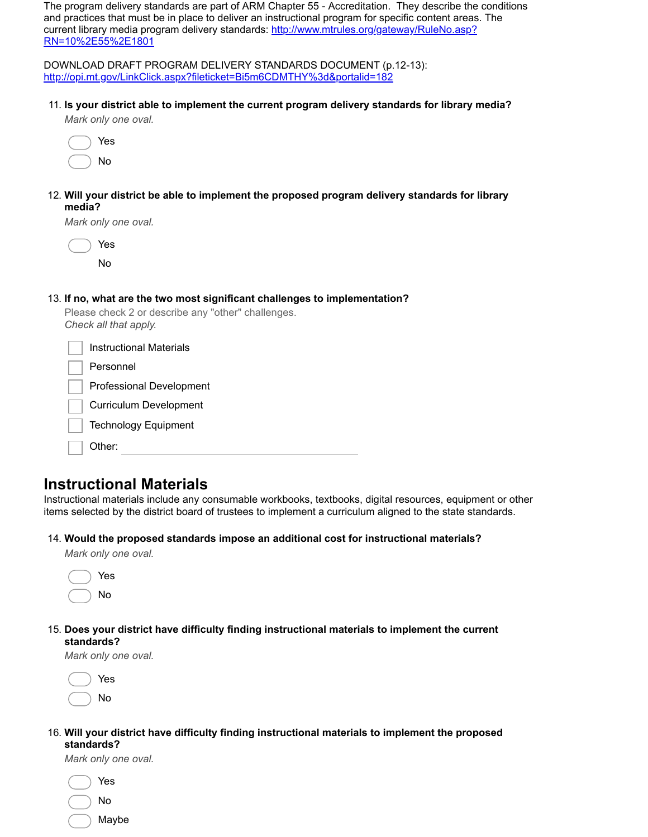The program delivery standards are part of ARM Chapter 55 - Accreditation. They describe the conditions and practices that must be in place to deliver an instructional program for specific content areas. The [current library media program delivery standards: http://www.mtrules.org/gateway/RuleNo.asp?](https://www.google.com/url?q=http://www.mtrules.org/gateway/RuleNo.asp?RN%3D10%252E55%252E1801&sa=D&ust=1582930626161000&usg=AFQjCNGzspSuFKtgjuC5egq30Td5IVWD-A) RN=10%2E55%2E1801

DOWNLOAD DRAFT PROGRAM DELIVERY STANDARDS DOCUMENT (p.12-13): [http://opi.mt.gov/LinkClick.aspx?fileticket=Bi5m6CDMTHY%3d&portalid=182](https://www.google.com/url?q=http://opi.mt.gov/LinkClick.aspx?fileticket%3DBi5m6CDMTHY%253d%26portalid%3D182&sa=D&ust=1582930626161000&usg=AFQjCNEjrKrBFMyfzM6_u0LttCjUIWgujQ)

11. **Is your district able to implement the current program delivery standards for library media?**

| Mark only one oval. |  |
|---------------------|--|
|---------------------|--|



12. **Will your district be able to implement the proposed program delivery standards for library media?**

*Mark only one oval.*

| Yes |
|-----|
| N٥  |

(

#### 13. **If no, what are the two most significant challenges to implementation?**

|                       |  |  | Please check 2 or describe any "other" challenges. |  |
|-----------------------|--|--|----------------------------------------------------|--|
| Check all that apply. |  |  |                                                    |  |

| <b>Instructional Materials</b>  |  |
|---------------------------------|--|
| Personnel                       |  |
| <b>Professional Development</b> |  |
| <b>Curriculum Development</b>   |  |
| <b>Technology Equipment</b>     |  |
| Other:                          |  |

# **Instructional Materials**

Instructional materials include any consumable workbooks, textbooks, digital resources, equipment or other items selected by the district board of trustees to implement a curriculum aligned to the state standards.

#### 14. **Would the proposed standards impose an additional cost for instructional materials?**

*Mark only one oval.*

| Yes |
|-----|
| Nο  |

15. **Does your district have difficulty finding instructional materials to implement the current standards?**

*Mark only one oval.*



#### 16. **Will your district have difficulty finding instructional materials to implement the proposed standards?**

*Mark only one oval.*

| Yes   |
|-------|
| N٥    |
| Maybe |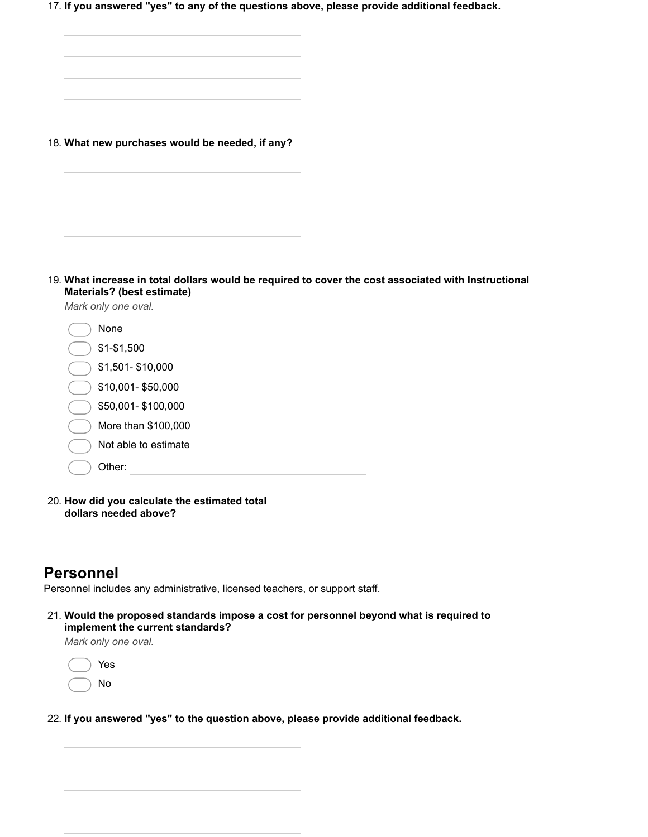17. **If you answered "yes" to any of the questions above, please provide additional feedback.**

| 18. What new purchases would be needed, if any?                                                                                    |  |
|------------------------------------------------------------------------------------------------------------------------------------|--|
|                                                                                                                                    |  |
|                                                                                                                                    |  |
|                                                                                                                                    |  |
|                                                                                                                                    |  |
|                                                                                                                                    |  |
| 19. What increase in total dollars would be required to cover the cost associated with Instructional<br>Materials? (best estimate) |  |
| Mark only one oval.                                                                                                                |  |
| None                                                                                                                               |  |
| $$1 - $1,500$                                                                                                                      |  |
| \$1,501-\$10,000                                                                                                                   |  |
| \$10,001-\$50,000                                                                                                                  |  |
| \$50,001-\$100,000                                                                                                                 |  |
| More than \$100,000                                                                                                                |  |
| Not able to estimate                                                                                                               |  |
| Other:                                                                                                                             |  |

20. **How did you calculate the estimated total dollars needed above?**

### **Personnel**

Personnel includes any administrative, licensed teachers, or support staff.

21. **Would the proposed standards impose a cost for personnel beyond what is required to implement the current standards?**

*Mark only one oval.*



22. **If you answered "yes" to the question above, please provide additional feedback.**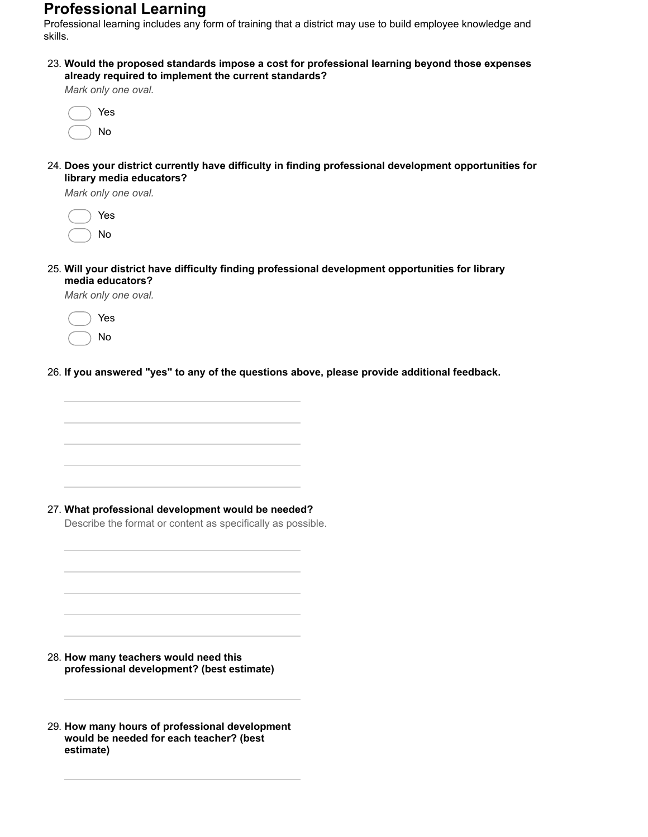# **Professional Learning**

Professional learning includes any form of training that a district may use to build employee knowledge and skills.

23. **Would the proposed standards impose a cost for professional learning beyond those expenses already required to implement the current standards?**

*Mark only one oval.*

|  | Yes |
|--|-----|
|  | Nο  |

24. **Does your district currently have difficulty in finding professional development opportunities for library media educators?**

*Mark only one oval.*

|  | Yes |
|--|-----|
|  | Nο  |

25. **Will your district have difficulty finding professional development opportunities for library media educators?**

*Mark only one oval.*

Yes No

26. **If you answered "yes" to any of the questions above, please provide additional feedback.**

27. **What professional development would be needed?**

Describe the format or content as specifically as possible.

28. **How many teachers would need this professional development? (best estimate)**

29. **How many hours of professional development would be needed for each teacher? (best estimate)**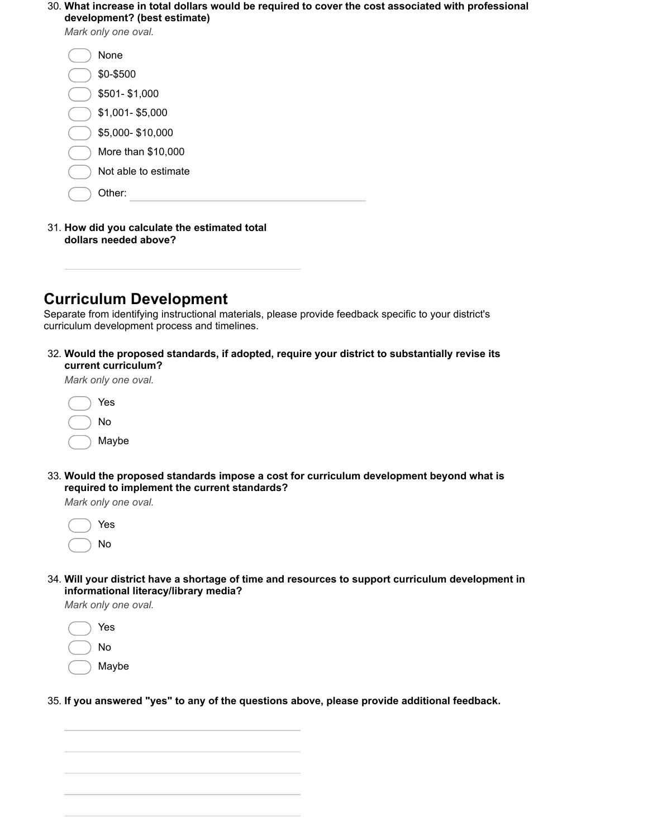#### 30. **What increase in total dollars would be required to cover the cost associated with professional development? (best estimate)**

*Mark only one oval.*

| None                 |  |
|----------------------|--|
| \$0-\$500            |  |
| \$501-\$1,000        |  |
| \$1,001-\$5,000      |  |
| \$5,000-\$10,000     |  |
| More than \$10,000   |  |
| Not able to estimate |  |
| Other:               |  |
|                      |  |

#### 31. **How did you calculate the estimated total dollars needed above?**

### **Curriculum Development**

Separate from identifying instructional materials, please provide feedback specific to your district's curriculum development process and timelines.

32. **Would the proposed standards, if adopted, require your district to substantially revise its current curriculum?**

*Mark only one oval.*



33. **Would the proposed standards impose a cost for curriculum development beyond what is required to implement the current standards?**

*Mark only one oval.*



34. **Will your district have a shortage of time and resources to support curriculum development in informational literacy/library media?**

*Mark only one oval.*



35. **If you answered "yes" to any of the questions above, please provide additional feedback.**